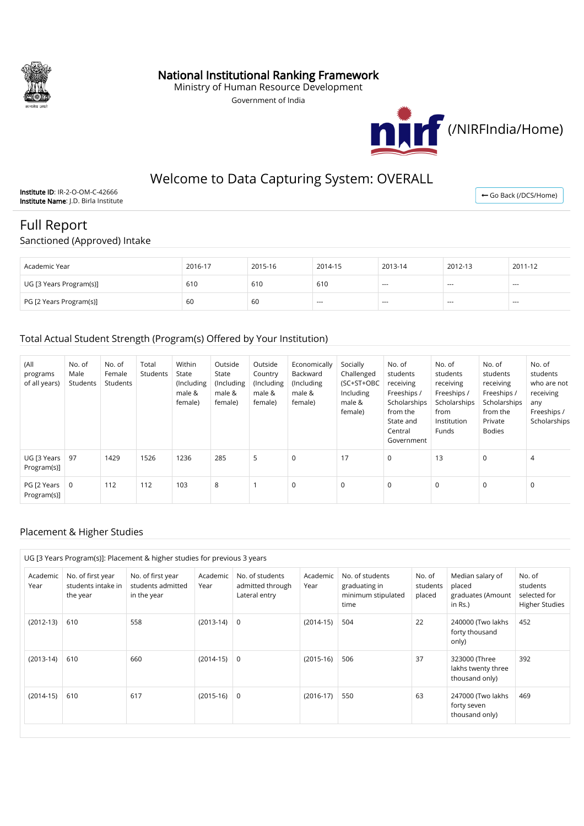

### National Institutional Ranking Framework

Ministry of Human Resource Development

Government of India



## Welcome to Data Capturing System: OVERALL

Institute ID: IR-2-O-OM-C-42666 Institute Name: J.D. Birla Institute

← [Go Back \(/DCS/Home\)](http://nirfweb.cloudapp.net/DCS/Home)

# Full Report

Sanctioned (Approved) Intake

| Academic Year           | 2016-17 | 2015-16 | 2014-15 | 2013-14 | 2012-13 | 2011-12 |
|-------------------------|---------|---------|---------|---------|---------|---------|
| UG [3 Years Program(s)] | 610     | 610     | 610     | $- - -$ | ---     | $- - -$ |
| PG [2 Years Program(s)] | 60      | 60      | $- - -$ | $- - -$ | ---     | $- - -$ |

#### Total Actual Student Strength (Program(s) Offered by Your Institution)

| (All<br>programs<br>of all years) | No. of<br>Male<br>Students | No. of<br>Female<br>Students | Total<br>Students | Within<br>State<br>(Including<br>male &<br>female) | Outside<br>State<br>(Including)<br>male &<br>female) | Outside<br>Country<br>(Including)<br>male &<br>female) | Economically<br>Backward<br>(Including)<br>male &<br>female) | Socially<br>Challenged<br>(SC+ST+OBC<br>Including<br>male &<br>female) | No. of<br>students<br>receiving<br>Freeships /<br>Scholarships<br>from the<br>State and<br>Central<br>Government | No. of<br>students<br>receiving<br>Freeships /<br>Scholarships<br>from<br>Institution<br>Funds | No. of<br>students<br>receiving<br>Freeships /<br>Scholarships<br>from the<br>Private<br><b>Bodies</b> | No. of<br>students<br>who are not<br>receiving<br>any<br>Freeships /<br>Scholarships |
|-----------------------------------|----------------------------|------------------------------|-------------------|----------------------------------------------------|------------------------------------------------------|--------------------------------------------------------|--------------------------------------------------------------|------------------------------------------------------------------------|------------------------------------------------------------------------------------------------------------------|------------------------------------------------------------------------------------------------|--------------------------------------------------------------------------------------------------------|--------------------------------------------------------------------------------------|
| UG [3 Years<br>Program(s)]        | 97                         | 1429                         | 1526              | 1236                                               | 285                                                  | 5                                                      | $\mathbf 0$                                                  | 17                                                                     | $\mathbf 0$                                                                                                      | 13                                                                                             | $\Omega$                                                                                               | 4                                                                                    |
| PG [2 Years  <br>Program(s)]      | 0                          | 112                          | 112               | 103                                                | 8                                                    |                                                        | $\mathbf 0$                                                  | $\mathbf 0$                                                            | $\mathbf 0$                                                                                                      | $\mathbf 0$                                                                                    | $\Omega$                                                                                               | $\mathbf 0$                                                                          |

#### Placement & Higher Studies

|                  |                                                     | UG [3 Years Program(s)]: Placement & higher studies for previous 3 years |                  |                                                      |                  |                                                                |                              |                                                            |                                                             |
|------------------|-----------------------------------------------------|--------------------------------------------------------------------------|------------------|------------------------------------------------------|------------------|----------------------------------------------------------------|------------------------------|------------------------------------------------------------|-------------------------------------------------------------|
| Academic<br>Year | No. of first year<br>students intake in<br>the year | No. of first year<br>students admitted<br>in the year                    | Academic<br>Year | No. of students<br>admitted through<br>Lateral entry | Academic<br>Year | No. of students<br>graduating in<br>minimum stipulated<br>time | No. of<br>students<br>placed | Median salary of<br>placed<br>graduates (Amount<br>in Rs.) | No. of<br>students<br>selected for<br><b>Higher Studies</b> |
| $(2012-13)$      | 610                                                 | 558                                                                      | $(2013-14)$      | 0                                                    | $(2014-15)$      | 504                                                            | 22                           | 240000 (Two lakhs<br>forty thousand<br>only)               | 452                                                         |
| $(2013-14)$      | 610                                                 | 660                                                                      | $(2014-15)$      | $\mathbf 0$                                          | $(2015-16)$      | 506                                                            | 37                           | 323000 (Three<br>lakhs twenty three<br>thousand only)      | 392                                                         |
| $(2014-15)$      | 610                                                 | 617                                                                      | $(2015-16)$      | $\Omega$                                             | $(2016-17)$      | 550                                                            | 63                           | 247000 (Two lakhs<br>forty seven<br>thousand only)         | 469                                                         |
|                  |                                                     |                                                                          |                  |                                                      |                  |                                                                |                              |                                                            |                                                             |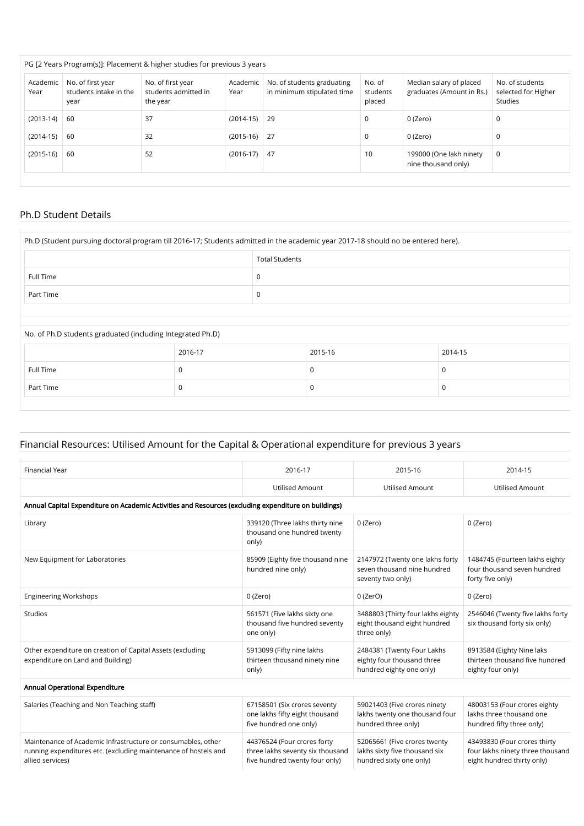|                  |                                                     | PG [2 Years Program(s)]: Placement & higher studies for previous 3 years |                  |                                                          |                              |                                                      |                                                   |
|------------------|-----------------------------------------------------|--------------------------------------------------------------------------|------------------|----------------------------------------------------------|------------------------------|------------------------------------------------------|---------------------------------------------------|
| Academic<br>Year | No. of first year<br>students intake in the<br>year | No. of first year<br>students admitted in<br>the year                    | Academic<br>Year | No. of students graduating<br>in minimum stipulated time | No. of<br>students<br>placed | Median salary of placed<br>graduates (Amount in Rs.) | No. of students<br>selected for Higher<br>Studies |
| $(2013-14)$      | 60                                                  | 37                                                                       | $(2014-15)$      | - 29                                                     | 0                            | 0 (Zero)                                             | 0                                                 |
| $(2014-15)$      | -60                                                 | 32                                                                       | $(2015-16)$ 27   |                                                          | $\Omega$                     | 0 (Zero)                                             | 0                                                 |
| $(2015-16)$      | 60                                                  | 52                                                                       | $(2016-17)$      | 47                                                       | 10                           | 199000 (One lakh ninety<br>nine thousand only)       | 0                                                 |
|                  |                                                     |                                                                          |                  |                                                          |                              |                                                      |                                                   |

#### Ph.D Student Details

| Ph.D (Student pursuing doctoral program till 2016-17; Students admitted in the academic year 2017-18 should no be entered here). |         |                       |         |             |  |  |
|----------------------------------------------------------------------------------------------------------------------------------|---------|-----------------------|---------|-------------|--|--|
|                                                                                                                                  |         | <b>Total Students</b> |         |             |  |  |
| Full Time                                                                                                                        |         | 0                     |         |             |  |  |
| Part Time                                                                                                                        |         | 0                     |         |             |  |  |
|                                                                                                                                  |         |                       |         |             |  |  |
| No. of Ph.D students graduated (including Integrated Ph.D)                                                                       |         |                       |         |             |  |  |
|                                                                                                                                  | 2016-17 |                       | 2015-16 | 2014-15     |  |  |
| Full Time                                                                                                                        | 0       |                       | 0       | 0           |  |  |
| Part Time                                                                                                                        | 0       |                       | 0       | $\mathbf 0$ |  |  |

#### Financial Resources: Utilised Amount for the Capital & Operational expenditure for previous 3 years

| <b>Financial Year</b>                                                                                                                               | 2016-17                                                                                           | 2015-16                                                                                  | 2014-15                                                                                        |
|-----------------------------------------------------------------------------------------------------------------------------------------------------|---------------------------------------------------------------------------------------------------|------------------------------------------------------------------------------------------|------------------------------------------------------------------------------------------------|
|                                                                                                                                                     | <b>Utilised Amount</b>                                                                            | <b>Utilised Amount</b>                                                                   | <b>Utilised Amount</b>                                                                         |
| Annual Capital Expenditure on Academic Activities and Resources (excluding expenditure on buildings)                                                |                                                                                                   |                                                                                          |                                                                                                |
| Library                                                                                                                                             | 339120 (Three lakhs thirty nine<br>thousand one hundred twenty<br>only)                           | 0 (Zero)                                                                                 | 0 (Zero)                                                                                       |
| New Equipment for Laboratories                                                                                                                      | 85909 (Eighty five thousand nine<br>hundred nine only)                                            | 2147972 (Twenty one lakhs forty<br>seven thousand nine hundred<br>seventy two only)      | 1484745 (Fourteen lakhs eighty<br>four thousand seven hundred<br>forty five only)              |
| <b>Engineering Workshops</b>                                                                                                                        | 0 (Zero)                                                                                          | $0$ (ZerO)                                                                               | 0 (Zero)                                                                                       |
| Studios                                                                                                                                             | 561571 (Five lakhs sixty one<br>thousand five hundred seventy<br>one only)                        | 3488803 (Thirty four lakhs eighty<br>eight thousand eight hundred<br>three only)         | 2546046 (Twenty five lakhs forty<br>six thousand forty six only)                               |
| Other expenditure on creation of Capital Assets (excluding<br>expenditure on Land and Building)                                                     | 5913099 (Fifty nine lakhs<br>thirteen thousand ninety nine<br>only)                               | 2484381 (Twenty Four Lakhs<br>eighty four thousand three<br>hundred eighty one only)     | 8913584 (Eighty Nine laks<br>thirteen thousand five hundred<br>eighty four only)               |
| Annual Operational Expenditure                                                                                                                      |                                                                                                   |                                                                                          |                                                                                                |
| Salaries (Teaching and Non Teaching staff)                                                                                                          | 67158501 (Six crores seventy<br>one lakhs fifty eight thousand<br>five hundred one only)          | 59021403 (Five crores ninety<br>lakhs twenty one thousand four<br>hundred three only)    | 48003153 (Four crores eighty<br>lakhs three thousand one<br>hundred fifty three only)          |
| Maintenance of Academic Infrastructure or consumables, other<br>running expenditures etc. (excluding maintenance of hostels and<br>allied services) | 44376524 (Four crores forty<br>three lakhs seventy six thousand<br>five hundred twenty four only) | 52065661 (Five crores twenty<br>lakhs sixty five thousand six<br>hundred sixty one only) | 43493830 (Four crores thirty<br>four lakhs ninety three thousand<br>eight hundred thirty only) |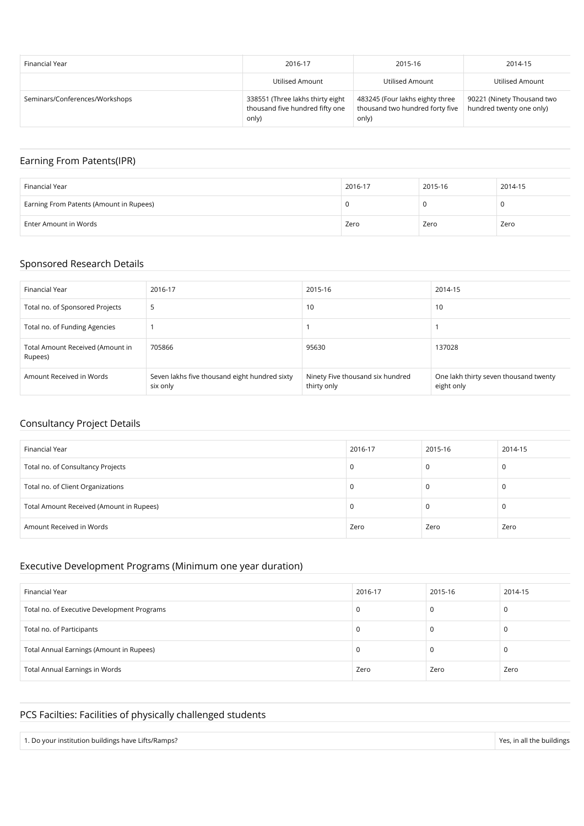| Financial Year                 | 2016-17                                                                      | 2015-16                                                                     | 2014-15                                                |
|--------------------------------|------------------------------------------------------------------------------|-----------------------------------------------------------------------------|--------------------------------------------------------|
|                                | Utilised Amount                                                              | Utilised Amount                                                             | Utilised Amount                                        |
| Seminars/Conferences/Workshops | 338551 (Three lakhs thirty eight<br>thousand five hundred fifty one<br>only) | 483245 (Four lakhs eighty three<br>thousand two hundred forty five<br>only) | 90221 (Ninety Thousand two<br>hundred twenty one only) |

## Earning From Patents(IPR)

| Financial Year                          | 2016-17 | 2015-16 | 2014-15 |
|-----------------------------------------|---------|---------|---------|
| Earning From Patents (Amount in Rupees) | л.      |         |         |
| Enter Amount in Words                   | Zero    | Zero    | Zero    |

#### Sponsored Research Details

| Financial Year                              | 2016-17                                                   | 2015-16                                         | 2014-15                                             |
|---------------------------------------------|-----------------------------------------------------------|-------------------------------------------------|-----------------------------------------------------|
| Total no. of Sponsored Projects             | ь                                                         | 10                                              | 10                                                  |
| Total no. of Funding Agencies               |                                                           |                                                 |                                                     |
| Total Amount Received (Amount in<br>Rupees) | 705866                                                    | 95630                                           | 137028                                              |
| Amount Received in Words                    | Seven lakhs five thousand eight hundred sixty<br>six only | Ninety Five thousand six hundred<br>thirty only | One lakh thirty seven thousand twenty<br>eight only |

#### Consultancy Project Details

| Financial Year                           | 2016-17 | 2015-16 | 2014-15 |
|------------------------------------------|---------|---------|---------|
| Total no. of Consultancy Projects        | 0       |         | 0       |
| Total no. of Client Organizations        | 0       |         | C       |
| Total Amount Received (Amount in Rupees) | 0       |         | C       |
| Amount Received in Words                 | Zero    | Zero    | Zero    |

## Executive Development Programs (Minimum one year duration)

| Financial Year                              | 2016-17 | 2015-16 | 2014-15 |
|---------------------------------------------|---------|---------|---------|
| Total no. of Executive Development Programs | U       |         | 0       |
| Total no. of Participants                   | υ       |         | U       |
| Total Annual Earnings (Amount in Rupees)    | U       |         | U       |
| <b>Total Annual Earnings in Words</b>       | Zero    | Zero    | Zero    |

## PCS Facilties: Facilities of physically challenged students

| 1. Do your institution buildings have Lifts/Ramps? | Yes, in all the buildings |
|----------------------------------------------------|---------------------------|
|----------------------------------------------------|---------------------------|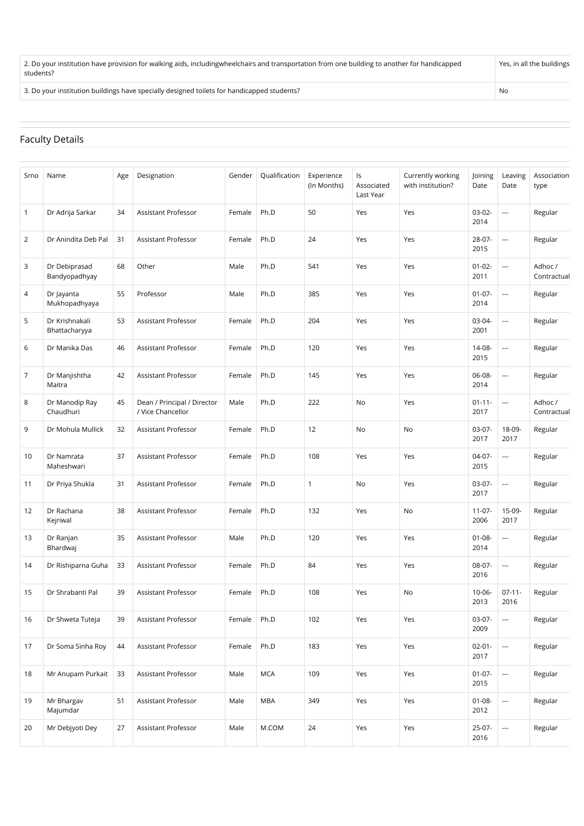2. Do your institution have provision for walking aids, includingwheelchairs and transportation from one building to another for handicapped students? Yes, in all the buildings

3. Do your institution buildings have specially designed toilets for handicapped students?

#### Faculty Details

| Srno           | Name                            | Age | Designation                                      | Gender | Qualification | Experience<br>(In Months) | Is<br>Associated<br>Last Year | Currently working<br>with institution? | Joining<br>Date     | Leaving<br>Date          | Association<br>type    |
|----------------|---------------------------------|-----|--------------------------------------------------|--------|---------------|---------------------------|-------------------------------|----------------------------------------|---------------------|--------------------------|------------------------|
| $\overline{1}$ | Dr Adrija Sarkar                | 34  | Assistant Professor                              | Female | Ph.D          | 50                        | Yes                           | Yes                                    | $03-02-$<br>2014    | $\overline{\phantom{a}}$ | Regular                |
| $\overline{2}$ | Dr Anindita Deb Pal             | 31  | Assistant Professor                              | Female | Ph.D          | 24                        | Yes                           | Yes                                    | 28-07-<br>2015      | $\overline{\phantom{a}}$ | Regular                |
| 3              | Dr Debiprasad<br>Bandyopadhyay  | 68  | Other                                            | Male   | Ph.D          | 541                       | Yes                           | Yes                                    | $01 - 02 -$<br>2011 | $\overline{\phantom{a}}$ | Adhoc /<br>Contractual |
| 4              | Dr Jayanta<br>Mukhopadhyaya     | 55  | Professor                                        | Male   | Ph.D          | 385                       | Yes                           | Yes                                    | $01 - 07 -$<br>2014 | $\overline{\phantom{a}}$ | Regular                |
| 5              | Dr Krishnakali<br>Bhattacharyya | 53  | <b>Assistant Professor</b>                       | Female | Ph.D          | 204                       | Yes                           | Yes                                    | $03-04-$<br>2001    | $\overline{\phantom{a}}$ | Regular                |
| 6              | Dr Manika Das                   | 46  | Assistant Professor                              | Female | Ph.D          | 120                       | Yes                           | Yes                                    | 14-08-<br>2015      | $\overline{\phantom{a}}$ | Regular                |
| $\overline{7}$ | Dr Manjishtha<br>Maitra         | 42  | Assistant Professor                              | Female | Ph.D          | 145                       | Yes                           | Yes                                    | 06-08-<br>2014      | $\overline{\phantom{a}}$ | Regular                |
| 8              | Dr Manodip Ray<br>Chaudhuri     | 45  | Dean / Principal / Director<br>/ Vice Chancellor | Male   | Ph.D          | 222                       | No                            | Yes                                    | $01 - 11 -$<br>2017 | $\overline{\phantom{a}}$ | Adhoc /<br>Contractual |
| 9              | Dr Mohula Mullick               | 32  | <b>Assistant Professor</b>                       | Female | Ph.D          | 12                        | No                            | No                                     | $03-07-$<br>2017    | 18-09-<br>2017           | Regular                |
| 10             | Dr Namrata<br>Maheshwari        | 37  | Assistant Professor                              | Female | Ph.D          | 108                       | Yes                           | Yes                                    | $04-07-$<br>2015    | $\overline{\phantom{a}}$ | Regular                |
| 11             | Dr Priya Shukla                 | 31  | Assistant Professor                              | Female | Ph.D          | $\mathbf{1}$              | No                            | Yes                                    | $03-07-$<br>2017    | $\overline{\phantom{a}}$ | Regular                |
| 12             | Dr Rachana<br>Kejriwal          | 38  | Assistant Professor                              | Female | Ph.D          | 132                       | Yes                           | No                                     | $11-07-$<br>2006    | 15-09-<br>2017           | Regular                |
| 13             | Dr Ranjan<br>Bhardwaj           | 35  | Assistant Professor                              | Male   | Ph.D          | 120                       | Yes                           | Yes                                    | $01 - 08 -$<br>2014 | $\overline{\phantom{a}}$ | Regular                |
| 14             | Dr Rishiparna Guha              | 33  | <b>Assistant Professor</b>                       | Female | Ph.D          | 84                        | Yes                           | Yes                                    | 08-07-<br>2016      | $\overline{\phantom{a}}$ | Regular                |
| 15             | Dr Shrabanti Pal                | 39  | Assistant Professor                              | Female | Ph.D          | 108                       | Yes                           | No                                     | $10 - 06 -$<br>2013 | $07-11-$<br>2016         | Regular                |
| 16             | Dr Shweta Tuteja                | 39  | <b>Assistant Professor</b>                       | Female | Ph.D          | 102                       | Yes                           | Yes                                    | $03-07-$<br>2009    | $\overline{\phantom{a}}$ | Regular                |
| 17             | Dr Soma Sinha Roy               | 44  | Assistant Professor                              | Female | Ph.D          | 183                       | Yes                           | Yes                                    | $02 - 01 -$<br>2017 |                          | Regular                |
| 18             | Mr Anupam Purkait               | 33  | Assistant Professor                              | Male   | <b>MCA</b>    | 109                       | Yes                           | Yes                                    | $01-07-$<br>2015    | $\overline{\phantom{a}}$ | Regular                |
| 19             | Mr Bhargav<br>Majumdar          | 51  | Assistant Professor                              | Male   | <b>MBA</b>    | 349                       | Yes                           | Yes                                    | $01 - 08 -$<br>2012 | $\overline{\phantom{a}}$ | Regular                |
| 20             | Mr Debjyoti Dey                 | 27  | Assistant Professor                              | Male   | M.COM         | 24                        | Yes                           | Yes                                    | $25-07-$<br>2016    | ---                      | Regular                |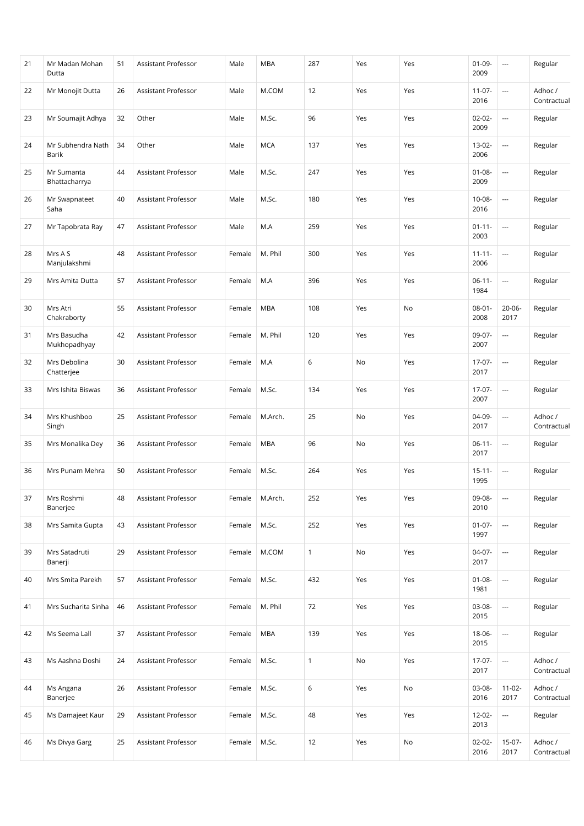| 21 | Mr Madan Mohan<br>Dutta     | 51 | Assistant Professor        | Male   | <b>MBA</b> | 287          | Yes | Yes | $01 - 09 -$<br>2009 | ---                      | Regular                |
|----|-----------------------------|----|----------------------------|--------|------------|--------------|-----|-----|---------------------|--------------------------|------------------------|
| 22 | Mr Monojit Dutta            | 26 | Assistant Professor        | Male   | M.COM      | 12           | Yes | Yes | $11-07-$<br>2016    | ---                      | Adhoc /<br>Contractual |
| 23 | Mr Soumajit Adhya           | 32 | Other                      | Male   | M.Sc.      | 96           | Yes | Yes | $02 - 02 -$<br>2009 | ---                      | Regular                |
| 24 | Mr Subhendra Nath<br>Barik  | 34 | Other                      | Male   | <b>MCA</b> | 137          | Yes | Yes | $13-02-$<br>2006    | ---                      | Regular                |
| 25 | Mr Sumanta<br>Bhattacharrya | 44 | Assistant Professor        | Male   | M.Sc.      | 247          | Yes | Yes | $01 - 08 -$<br>2009 | ---                      | Regular                |
| 26 | Mr Swapnateet<br>Saha       | 40 | Assistant Professor        | Male   | M.Sc.      | 180          | Yes | Yes | 10-08-<br>2016      | ---                      | Regular                |
| 27 | Mr Tapobrata Ray            | 47 | Assistant Professor        | Male   | M.A        | 259          | Yes | Yes | $01 - 11 -$<br>2003 | ---                      | Regular                |
| 28 | Mrs A S<br>Manjulakshmi     | 48 | Assistant Professor        | Female | M. Phil    | 300          | Yes | Yes | $11 - 11 -$<br>2006 | ---                      | Regular                |
| 29 | Mrs Amita Dutta             | 57 | Assistant Professor        | Female | M.A        | 396          | Yes | Yes | $06-11-$<br>1984    | $\overline{\phantom{a}}$ | Regular                |
| 30 | Mrs Atri<br>Chakraborty     | 55 | Assistant Professor        | Female | <b>MBA</b> | 108          | Yes | No  | $08 - 01 -$<br>2008 | 20-06-<br>2017           | Regular                |
| 31 | Mrs Basudha<br>Mukhopadhyay | 42 | Assistant Professor        | Female | M. Phil    | 120          | Yes | Yes | 09-07-<br>2007      | $\overline{\phantom{a}}$ | Regular                |
| 32 | Mrs Debolina<br>Chatterjee  | 30 | Assistant Professor        | Female | M.A        | 6            | No  | Yes | $17-07-$<br>2017    | ---                      | Regular                |
| 33 | Mrs Ishita Biswas           | 36 | Assistant Professor        | Female | M.Sc.      | 134          | Yes | Yes | $17-07-$<br>2007    | $\overline{a}$           | Regular                |
| 34 | Mrs Khushboo<br>Singh       | 25 | Assistant Professor        | Female | M.Arch.    | 25           | No  | Yes | 04-09-<br>2017      | ---                      | Adhoc /<br>Contractual |
| 35 | Mrs Monalika Dey            | 36 | <b>Assistant Professor</b> | Female | <b>MBA</b> | 96           | No  | Yes | $06-11-$<br>2017    | ---                      | Regular                |
| 36 | Mrs Punam Mehra             | 50 | Assistant Professor        | Female | M.Sc.      | 264          | Yes | Yes | $15 - 11 -$<br>1995 | $\overline{\phantom{a}}$ | Regular                |
| 37 | Mrs Roshmi<br>Banerjee      | 48 | Assistant Professor        | Female | M.Arch.    | 252          | Yes | Yes | 09-08-<br>2010      | $\sim$                   | Regular                |
| 38 | Mrs Samita Gupta            | 43 | <b>Assistant Professor</b> | Female | M.Sc.      | 252          | Yes | Yes | $01 - 07 -$<br>1997 | $\overline{\phantom{a}}$ | Regular                |
| 39 | Mrs Satadruti<br>Banerji    | 29 | Assistant Professor        | Female | M.COM      | $\mathbf{1}$ | No  | Yes | 04-07-<br>2017      | ---                      | Regular                |
| 40 | Mrs Smita Parekh            | 57 | Assistant Professor        | Female | M.Sc.      | 432          | Yes | Yes | $01 - 08 -$<br>1981 | $\overline{\phantom{a}}$ | Regular                |
| 41 | Mrs Sucharita Sinha         | 46 | Assistant Professor        | Female | M. Phil    | 72           | Yes | Yes | 03-08-<br>2015      | $\overline{\phantom{a}}$ | Regular                |
| 42 | Ms Seema Lall               | 37 | Assistant Professor        | Female | <b>MBA</b> | 139          | Yes | Yes | 18-06-<br>2015      | $\hspace{0.05cm}\ldots$  | Regular                |
| 43 | Ms Aashna Doshi             | 24 | Assistant Professor        | Female | M.Sc.      | $\mathbf{1}$ | No  | Yes | $17-07-$<br>2017    | $\sim$                   | Adhoc /<br>Contractual |
| 44 | Ms Angana<br>Banerjee       | 26 | Assistant Professor        | Female | M.Sc.      | $6\,$        | Yes | No  | 03-08-<br>2016      | $11-02-$<br>2017         | Adhoc /<br>Contractual |
| 45 | Ms Damajeet Kaur            | 29 | Assistant Professor        | Female | M.Sc.      | 48           | Yes | Yes | $12 - 02 -$<br>2013 | $\hspace{0.05cm}\ldots$  | Regular                |
| 46 | Ms Divya Garg               | 25 | Assistant Professor        | Female | M.Sc.      | 12           | Yes | No  | $02 - 02 -$<br>2016 | 15-07-<br>2017           | Adhoc /<br>Contractual |